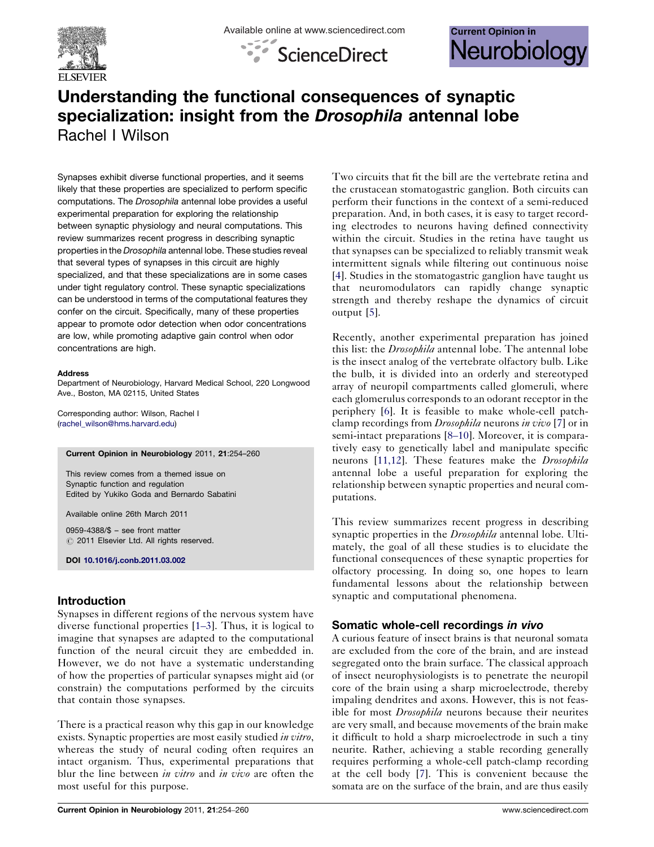



# **Current Opinion in** Neurobiology

## Understanding the functional consequences of synaptic specialization: insight from the *Drosophila* antennal lobe Rachel I Wilson

Synapses exhibit diverse functional properties, and it seems likely that these properties are specialized to perform specific computations. The Drosophila antennal lobe provides a useful experimental preparation for exploring the relationship between synaptic physiology and neural computations. This review summarizes recent progress in describing synaptic properties in the Drosophila antennal lobe. These studies reveal that several types of synapses in this circuit are highly specialized, and that these specializations are in some cases under tight regulatory control. These synaptic specializations can be understood in terms of the computational features they confer on the circuit. Specifically, many of these properties appear to promote odor detection when odor concentrations are low, while promoting adaptive gain control when odor concentrations are high.

#### **Address**

Department of Neurobiology, Harvard Medical School, 220 Longwood Ave., Boston, MA 02115, United States

Corresponding author: Wilson, Rachel I ([rachel\\_wilson@hms.harvard.edu\)](mailto:rachel_wilson@hms.harvard.edu)

#### Current Opinion in Neurobiology 2011, 21:254–260

This review comes from a themed issue on Synaptic function and regulation Edited by Yukiko Goda and Bernardo Sabatini

Available online 26th March 2011

0959-4388/\$ – see front matter  $\oslash$  2011 Elsevier Ltd. All rights reserved.

DOI [10.1016/j.conb.2011.03.002](http://dx.doi.org/10.1016/j.conb.2011.03.002)

### Introduction

Synapses in different regions of the nervous system have diverse functional properties [1–[3\]](#page-5-0). Thus, it is logical to imagine that synapses are adapted to the computational function of the neural circuit they are embedded in. However, we do not have a systematic understanding of how the properties of particular synapses might aid (or constrain) the computations performed by the circuits that contain those synapses.

There is a practical reason why this gap in our knowledge exists. Synaptic properties are most easily studied in vitro, whereas the study of neural coding often requires an intact organism. Thus, experimental preparations that blur the line between in vitro and in vivo are often the most useful for this purpose.

Two circuits that fit the bill are the vertebrate retina and the crustacean stomatogastric ganglion. Both circuits can perform their functions in the context of a semi-reduced preparation. And, in both cases, it is easy to target recording electrodes to neurons having defined connectivity within the circuit. Studies in the retina have taught us that synapses can be specialized to reliably transmit weak intermittent signals while filtering out continuous noise [\[4](#page-5-0)]. Studies in the stomatogastric ganglion have taught us that neuromodulators can rapidly change synaptic strength and thereby reshape the dynamics of circuit output [[5\]](#page-5-0).

Recently, another experimental preparation has joined this list: the *Drosophila* antennal lobe. The antennal lobe is the insect analog of the vertebrate olfactory bulb. Like the bulb, it is divided into an orderly and stereotyped array of neuropil compartments called glomeruli, where each glomerulus corresponds to an odorant receptor in the periphery [[6\]](#page-5-0). It is feasible to make whole-cell patchclamp recordings from Drosophila neurons in vivo [[7\]](#page-5-0) or in semi-intact preparations [8–[10](#page-5-0)]. Moreover, it is comparatively easy to genetically label and manipulate specific neurons [[11,12](#page-5-0)]. These features make the Drosophila antennal lobe a useful preparation for exploring the relationship between synaptic properties and neural computations.

This review summarizes recent progress in describing synaptic properties in the Drosophila antennal lobe. Ultimately, the goal of all these studies is to elucidate the functional consequences of these synaptic properties for olfactory processing. In doing so, one hopes to learn fundamental lessons about the relationship between synaptic and computational phenomena.

## Somatic whole-cell recordings in vivo

A curious feature of insect brains is that neuronal somata are excluded from the core of the brain, and are instead segregated onto the brain surface. The classical approach of insect neurophysiologists is to penetrate the neuropil core of the brain using a sharp microelectrode, thereby impaling dendrites and axons. However, this is not feasible for most *Drosophila* neurons because their neurites are very small, and because movements of the brain make it difficult to hold a sharp microelectrode in such a tiny neurite. Rather, achieving a stable recording generally requires performing a whole-cell patch-clamp recording at the cell body [\[7](#page-5-0)]. This is convenient because the somata are on the surface of the brain, and are thus easily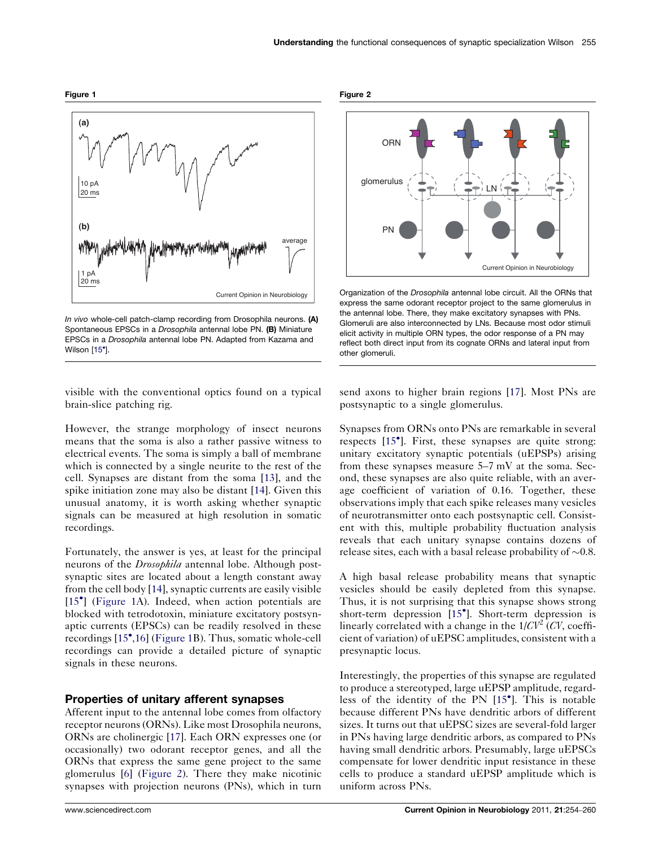



In vivo whole-cell patch-clamp recording from Drosophila neurons. (A) Spontaneous EPSCs in a Drosophila antennal lobe PN. (B) Miniature EPSCs in a Drosophila antennal lobe PN. Adapted from Kazama and Wilson [[15](#page-5-0)<sup>•</sup>].

visible with the conventional optics found on a typical brain-slice patching rig.

However, the strange morphology of insect neurons means that the soma is also a rather passive witness to electrical events. The soma is simply a ball of membrane which is connected by a single neurite to the rest of the cell. Synapses are distant from the soma [[13](#page-5-0)], and the spike initiation zone may also be distant [\[14](#page-5-0)]. Given this unusual anatomy, it is worth asking whether synaptic signals can be measured at high resolution in somatic recordings.

Fortunately, the answer is yes, at least for the principal neurons of the *Drosophila* antennal lobe. Although postsynaptic sites are located about a length constant away from the cell body [[14\]](#page-5-0), synaptic currents are easily visible [\[15](#page-5-0)<sup>°</sup>] (Figure 1A). Indeed, when action potentials are blocked with tetrodotoxin, miniature excitatory postsynaptic currents (EPSCs) can be readily resolved in these recordings [\[15](#page-5-0)<sup>\*</sup>[,16](#page-5-0)] (Figure 1B). Thus, somatic whole-cell recordings can provide a detailed picture of synaptic signals in these neurons.

#### Properties of unitary afferent synapses

Afferent input to the antennal lobe comes from olfactory receptor neurons (ORNs). Like most Drosophila neurons, ORNs are cholinergic [\[17](#page-5-0)]. Each ORN expresses one (or occasionally) two odorant receptor genes, and all the ORNs that express the same gene project to the same glomerulus [\[6](#page-5-0)] (Figure 2). There they make nicotinic synapses with projection neurons (PNs), which in turn Figure 2



Organization of the Drosophila antennal lobe circuit. All the ORNs that express the same odorant receptor project to the same glomerulus in the antennal lobe. There, they make excitatory synapses with PNs. Glomeruli are also interconnected by LNs. Because most odor stimuli elicit activity in multiple ORN types, the odor response of a PN may reflect both direct input from its cognate ORNs and lateral input from other glomeruli.

send axons to higher brain regions [[17\]](#page-5-0). Most PNs are postsynaptic to a single glomerulus.

Synapses from ORNs onto PNs are remarkable in several respects [\[15](#page-5-0)<sup>°</sup>]. First, these synapses are quite strong: unitary excitatory synaptic potentials (uEPSPs) arising from these synapses measure 5–7 mV at the soma. Second, these synapses are also quite reliable, with an average coefficient of variation of 0.16. Together, these observations imply that each spike releases many vesicles of neurotransmitter onto each postsynaptic cell. Consistent with this, multiple probability fluctuation analysis reveals that each unitary synapse contains dozens of release sites, each with a basal release probability of  $\sim 0.8$ .

A high basal release probability means that synaptic vesicles should be easily depleted from this synapse. Thus, it is not surprising that this synapse shows strong short-term depression [\[15](#page-5-0)<sup>°</sup>]. Short-term depression is linearly correlated with a change in the  $1/CV<sup>2</sup>$  (CV, coefficient of variation) of uEPSC amplitudes, consistent with a presynaptic locus.

Interestingly, the properties of this synapse are regulated to produce a stereotyped, large uEPSP amplitude, regard-less of the identity of the PN [\[15](#page-5-0)<sup>°</sup>]. This is notable because different PNs have dendritic arbors of different sizes. It turns out that uEPSC sizes are several-fold larger in PNs having large dendritic arbors, as compared to PNs having small dendritic arbors. Presumably, large uEPSCs compensate for lower dendritic input resistance in these cells to produce a standard uEPSP amplitude which is uniform across PNs.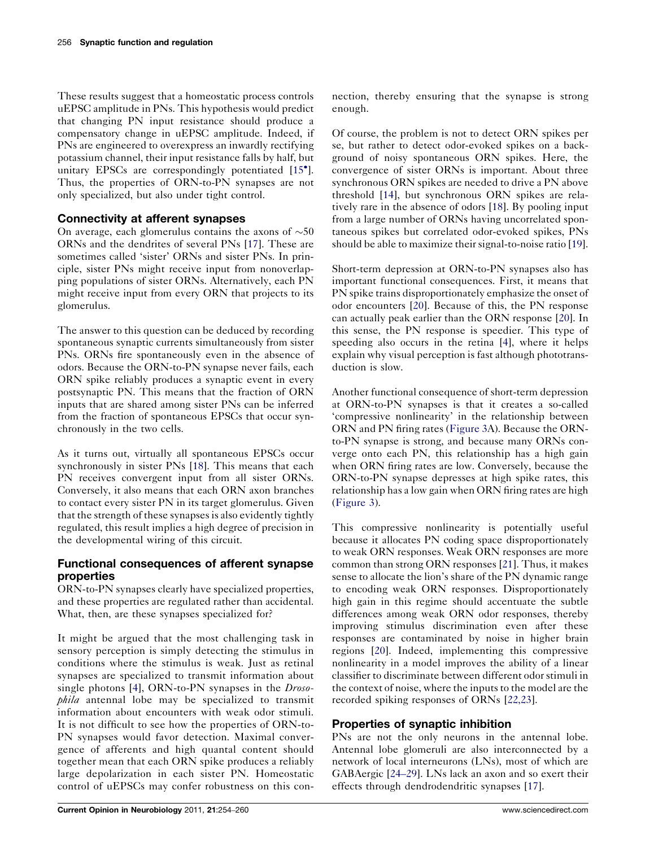These results suggest that a homeostatic process controls uEPSC amplitude in PNs. This hypothesis would predict that changing PN input resistance should produce a compensatory change in uEPSC amplitude. Indeed, if PNs are engineered to overexpress an inwardly rectifying potassium channel, their input resistance falls by half, but unitary EPSCs are correspondingly potentiated [[15](#page-5-0)<sup>°</sup>]. Thus, the properties of ORN-to-PN synapses are not only specialized, but also under tight control.

## Connectivity at afferent synapses

On average, each glomerulus contains the axons of  $\sim 50$ ORNs and the dendrites of several PNs [[17\]](#page-5-0). These are sometimes called 'sister' ORNs and sister PNs. In principle, sister PNs might receive input from nonoverlapping populations of sister ORNs. Alternatively, each PN might receive input from every ORN that projects to its glomerulus.

The answer to this question can be deduced by recording spontaneous synaptic currents simultaneously from sister PNs. ORNs fire spontaneously even in the absence of odors. Because the ORN-to-PN synapse never fails, each ORN spike reliably produces a synaptic event in every postsynaptic PN. This means that the fraction of ORN inputs that are shared among sister PNs can be inferred from the fraction of spontaneous EPSCs that occur synchronously in the two cells.

As it turns out, virtually all spontaneous EPSCs occur synchronously in sister PNs [[18\]](#page-5-0). This means that each PN receives convergent input from all sister ORNs. Conversely, it also means that each ORN axon branches to contact every sister PN in its target glomerulus. Given that the strength of these synapses is also evidently tightly regulated, this result implies a high degree of precision in the developmental wiring of this circuit.

## Functional consequences of afferent synapse properties

ORN-to-PN synapses clearly have specialized properties, and these properties are regulated rather than accidental. What, then, are these synapses specialized for?

It might be argued that the most challenging task in sensory perception is simply detecting the stimulus in conditions where the stimulus is weak. Just as retinal synapses are specialized to transmit information about single photons [\[4](#page-5-0)], ORN-to-PN synapses in the *Drosophila* antennal lobe may be specialized to transmit information about encounters with weak odor stimuli. It is not difficult to see how the properties of ORN-to-PN synapses would favor detection. Maximal convergence of afferents and high quantal content should together mean that each ORN spike produces a reliably large depolarization in each sister PN. Homeostatic control of uEPSCs may confer robustness on this connection, thereby ensuring that the synapse is strong enough.

Of course, the problem is not to detect ORN spikes per se, but rather to detect odor-evoked spikes on a background of noisy spontaneous ORN spikes. Here, the convergence of sister ORNs is important. About three synchronous ORN spikes are needed to drive a PN above threshold [[14\]](#page-5-0), but synchronous ORN spikes are relatively rare in the absence of odors [\[18](#page-5-0)]. By pooling input from a large number of ORNs having uncorrelated spontaneous spikes but correlated odor-evoked spikes, PNs should be able to maximize their signal-to-noise ratio [[19](#page-5-0)].

Short-term depression at ORN-to-PN synapses also has important functional consequences. First, it means that PN spike trains disproportionately emphasize the onset of odor encounters [\[20](#page-5-0)]. Because of this, the PN response can actually peak earlier than the ORN response [[20](#page-5-0)]. In this sense, the PN response is speedier. This type of speeding also occurs in the retina [\[4](#page-5-0)], where it helps explain why visual perception is fast although phototransduction is slow.

Another functional consequence of short-term depression at ORN-to-PN synapses is that it creates a so-called 'compressive nonlinearity' in the relationship between ORN and PN firing rates [\(Figure 3A](#page-3-0)). Because the ORNto-PN synapse is strong, and because many ORNs converge onto each PN, this relationship has a high gain when ORN firing rates are low. Conversely, because the ORN-to-PN synapse depresses at high spike rates, this relationship has a low gain when ORN firing rates are high [\(Figure 3](#page-3-0)).

This compressive nonlinearity is potentially useful because it allocates PN coding space disproportionately to weak ORN responses. Weak ORN responses are more common than strong ORN responses [[21\]](#page-5-0). Thus, it makes sense to allocate the lion's share of the PN dynamic range to encoding weak ORN responses. Disproportionately high gain in this regime should accentuate the subtle differences among weak ORN odor responses, thereby improving stimulus discrimination even after these responses are contaminated by noise in higher brain regions [[20\]](#page-5-0). Indeed, implementing this compressive nonlinearity in a model improves the ability of a linear classifier to discriminate between different odor stimuli in the context of noise, where the inputs to the model are the recorded spiking responses of ORNs [\[22,23\]](#page-5-0).

## Properties of synaptic inhibition

PNs are not the only neurons in the antennal lobe. Antennal lobe glomeruli are also interconnected by a network of local interneurons (LNs), most of which are GABAergic [24–[29\]](#page-5-0). LNs lack an axon and so exert their effects through dendrodendritic synapses [\[17](#page-5-0)].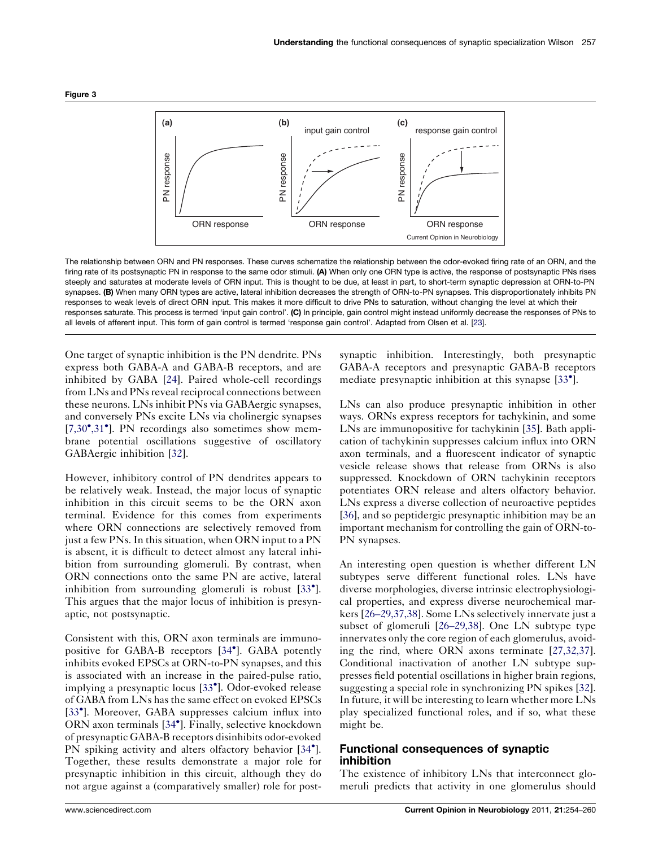<span id="page-3-0"></span>

The relationship between ORN and PN responses. These curves schematize the relationship between the odor-evoked firing rate of an ORN, and the firing rate of its postsynaptic PN in response to the same odor stimuli. (A) When only one ORN type is active, the response of postsynaptic PNs rises steeply and saturates at moderate levels of ORN input. This is thought to be due, at least in part, to short-term synaptic depression at ORN-to-PN synapses. (B) When many ORN types are active, lateral inhibition decreases the strength of ORN-to-PN synapses. This disproportionately inhibits PN responses to weak levels of direct ORN input. This makes it more difficult to drive PNs to saturation, without changing the level at which their responses saturate. This process is termed 'input gain control'. (C) In principle, gain control might instead uniformly decrease the responses of PNs to all levels of afferent input. This form of gain control is termed 'response gain control'. Adapted from Olsen et al. [[23\]](#page-5-0).

One target of synaptic inhibition is the PN dendrite. PNs express both GABA-A and GABA-B receptors, and are inhibited by GABA [[24\]](#page-5-0). Paired whole-cell recordings from LNs and PNs reveal reciprocal connections between these neurons. LNs inhibit PNs via GABAergic synapses, and conversely PNs excite LNs via cholinergic synapses [\[7,30](#page-5-0)°[,31](#page-5-0)°]. PN recordings also sometimes show membrane potential oscillations suggestive of oscillatory GABAergic inhibition [[32\]](#page-6-0).

However, inhibitory control of PN dendrites appears to be relatively weak. Instead, the major locus of synaptic inhibition in this circuit seems to be the ORN axon terminal. Evidence for this comes from experiments where ORN connections are selectively removed from just a few PNs. In this situation, when ORN input to a PN is absent, it is difficult to detect almost any lateral inhibition from surrounding glomeruli. By contrast, when ORN connections onto the same PN are active, lateral inhibition from surrounding glomeruli is robust [[33](#page-6-0)°]. This argues that the major locus of inhibition is presynaptic, not postsynaptic.

Consistent with this, ORN axon terminals are immuno-positive for GABA-B receptors [\[34](#page-6-0)<sup>°</sup>]. GABA potently inhibits evoked EPSCs at ORN-to-PN synapses, and this is associated with an increase in the paired-pulse ratio, implying a presynaptic locus [[33](#page-6-0)- ]. Odor-evoked release of GABA from LNs has the same effect on evoked EPSCs [\[33](#page-6-0)<sup>\*</sup>]. Moreover, GABA suppresses calcium influx into ORN axon terminals [[34](#page-6-0)<sup>°</sup>]. Finally, selective knockdown of presynaptic GABA-B receptors disinhibits odor-evoked PN spiking activity and alters olfactory behavior [[34](#page-6-0)°]. Together, these results demonstrate a major role for presynaptic inhibition in this circuit, although they do not argue against a (comparatively smaller) role for post-

synaptic inhibition. Interestingly, both presynaptic GABA-A receptors and presynaptic GABA-B receptors mediate presynaptic inhibition at this synapse [[33](#page-6-0)<sup>°</sup>].

LNs can also produce presynaptic inhibition in other ways. ORNs express receptors for tachykinin, and some LNs are immunopositive for tachykinin [[35\]](#page-6-0). Bath application of tachykinin suppresses calcium influx into ORN axon terminals, and a fluorescent indicator of synaptic vesicle release shows that release from ORNs is also suppressed. Knockdown of ORN tachykinin receptors potentiates ORN release and alters olfactory behavior. LNs express a diverse collection of neuroactive peptides [[36](#page-6-0)], and so peptidergic presynaptic inhibition may be an important mechanism for controlling the gain of ORN-to-PN synapses.

An interesting open question is whether different LN subtypes serve different functional roles. LNs have diverse morphologies, diverse intrinsic electrophysiological properties, and express diverse neurochemical markers [26–[29,37,38](#page-5-0)]. Some LNs selectively innervate just a subset of glomeruli [26–[29,38](#page-5-0)]. One LN subtype type innervates only the core region of each glomerulus, avoiding the rind, where ORN axons terminate [[27,32,37\]](#page-5-0). Conditional inactivation of another LN subtype suppresses field potential oscillations in higher brain regions, suggesting a special role in synchronizing PN spikes [[32\]](#page-6-0). In future, it will be interesting to learn whether more LNs play specialized functional roles, and if so, what these might be.

#### Functional consequences of synaptic inhibition

The existence of inhibitory LNs that interconnect glomeruli predicts that activity in one glomerulus should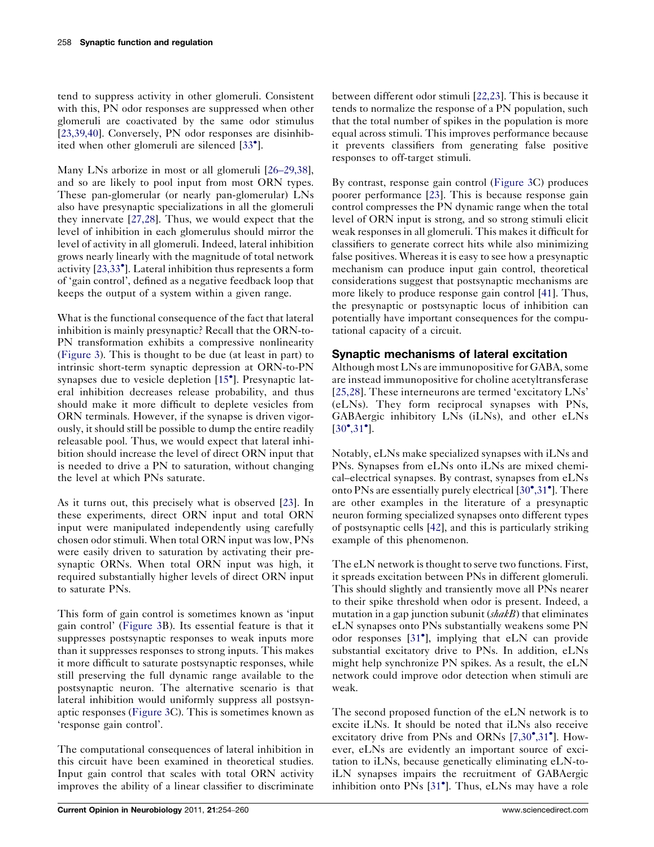tend to suppress activity in other glomeruli. Consistent with this, PN odor responses are suppressed when other glomeruli are coactivated by the same odor stimulus [\[23,39,40](#page-5-0)]. Conversely, PN odor responses are disinhib-ited when other glomeruli are silenced [\[33](#page-6-0)<sup>°</sup>].

Many LNs arborize in most or all glomeruli [26–[29,38](#page-5-0)], and so are likely to pool input from most ORN types. These pan-glomerular (or nearly pan-glomerular) LNs also have presynaptic specializations in all the glomeruli they innervate [[27,28](#page-5-0)]. Thus, we would expect that the level of inhibition in each glomerulus should mirror the level of activity in all glomeruli. Indeed, lateral inhibition grows nearly linearly with the magnitude of total network activity [[23,33](#page-5-0)<sup>\*</sup>]. Lateral inhibition thus represents a form of 'gain control', defined as a negative feedback loop that keeps the output of a system within a given range.

What is the functional consequence of the fact that lateral inhibition is mainly presynaptic? Recall that the ORN-to-PN transformation exhibits a compressive nonlinearity [\(Figure 3](#page-3-0)). This is thought to be due (at least in part) to intrinsic short-term synaptic depression at ORN-to-PN synapses due to vesicle depletion [[15](#page-5-0)<sup>°</sup>]. Presynaptic lateral inhibition decreases release probability, and thus should make it more difficult to deplete vesicles from ORN terminals. However, if the synapse is driven vigorously, it should still be possible to dump the entire readily releasable pool. Thus, we would expect that lateral inhibition should increase the level of direct ORN input that is needed to drive a PN to saturation, without changing the level at which PNs saturate.

As it turns out, this precisely what is observed [\[23](#page-5-0)]. In these experiments, direct ORN input and total ORN input were manipulated independently using carefully chosen odor stimuli. When total ORN input was low, PNs were easily driven to saturation by activating their presynaptic ORNs. When total ORN input was high, it required substantially higher levels of direct ORN input to saturate PNs.

This form of gain control is sometimes known as 'input gain control' ([Figure 3B](#page-3-0)). Its essential feature is that it suppresses postsynaptic responses to weak inputs more than it suppresses responses to strong inputs. This makes it more difficult to saturate postsynaptic responses, while still preserving the full dynamic range available to the postsynaptic neuron. The alternative scenario is that lateral inhibition would uniformly suppress all postsynaptic responses ([Figure 3](#page-3-0)C). This is sometimes known as 'response gain control'.

The computational consequences of lateral inhibition in this circuit have been examined in theoretical studies. Input gain control that scales with total ORN activity improves the ability of a linear classifier to discriminate

between different odor stimuli [\[22,23\]](#page-5-0). This is because it tends to normalize the response of a PN population, such that the total number of spikes in the population is more equal across stimuli. This improves performance because it prevents classifiers from generating false positive responses to off-target stimuli.

By contrast, response gain control ([Figure 3](#page-3-0)C) produces poorer performance [\[23](#page-5-0)]. This is because response gain control compresses the PN dynamic range when the total level of ORN input is strong, and so strong stimuli elicit weak responses in all glomeruli. This makes it difficult for classifiers to generate correct hits while also minimizing false positives. Whereas it is easy to see how a presynaptic mechanism can produce input gain control, theoretical considerations suggest that postsynaptic mechanisms are more likely to produce response gain control [\[41](#page-6-0)]. Thus, the presynaptic or postsynaptic locus of inhibition can potentially have important consequences for the computational capacity of a circuit.

## Synaptic mechanisms of lateral excitation

Although most LNs are immunopositive for GABA, some are instead immunopositive for choline acetyltransferase [[25,28](#page-5-0)]. These interneurons are termed 'excitatory LNs' (eLNs). They form reciprocal synapses with PNs, GABAergic inhibitory LNs (iLNs), and other eLNs  $[30^{\circ}, 31^{\circ}]$  $[30^{\circ}, 31^{\circ}]$  $[30^{\circ}, 31^{\circ}]$ .

Notably, eLNs make specialized synapses with iLNs and PNs. Synapses from eLNs onto iLNs are mixed chemical–electrical synapses. By contrast, synapses from eLNs onto PNs are essentially purely electrical [[30](#page-6-0)°[,31](#page-6-0)°]. There are other examples in the literature of a presynaptic neuron forming specialized synapses onto different types of postsynaptic cells [\[42](#page-6-0)], and this is particularly striking example of this phenomenon.

The eLN network is thought to serve two functions. First, it spreads excitation between PNs in different glomeruli. This should slightly and transiently move all PNs nearer to their spike threshold when odor is present. Indeed, a mutation in a gap junction subunit  $(s \text{hak} B)$  that eliminates eLN synapses onto PNs substantially weakens some PN odor responses [\[31](#page-6-0)<sup>°</sup>], implying that eLN can provide substantial excitatory drive to PNs. In addition, eLNs might help synchronize PN spikes. As a result, the eLN network could improve odor detection when stimuli are weak.

The second proposed function of the eLN network is to excite iLNs. It should be noted that iLNs also receive excitatory drive from PNs and ORNs [[7,30](#page-5-0)°[,31](#page-5-0)°]. However, eLNs are evidently an important source of excitation to iLNs, because genetically eliminating eLN-toiLN synapses impairs the recruitment of GABAergic inhibition onto PNs [\[31](#page-6-0)<sup>°</sup>]. Thus, eLNs may have a role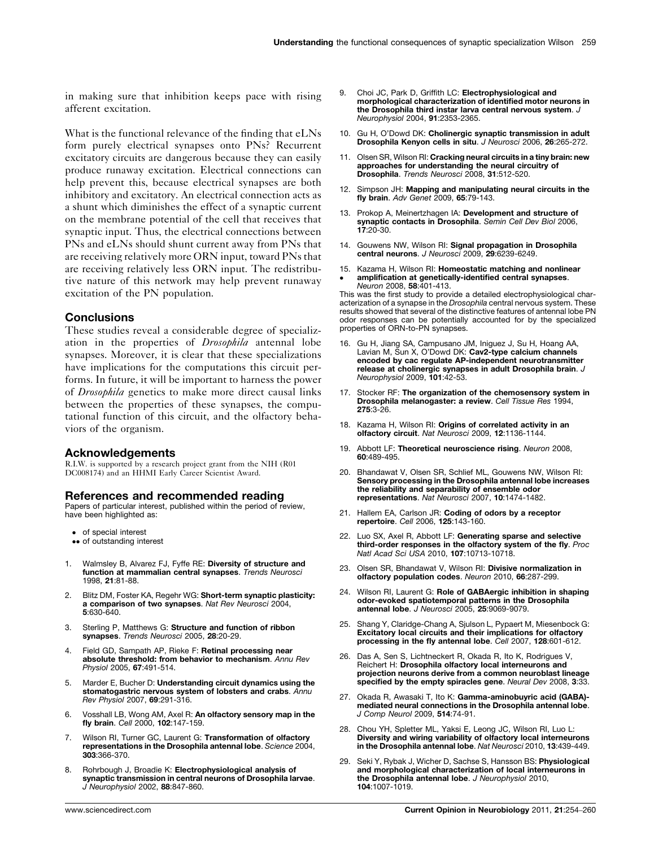<span id="page-5-0"></span>in making sure that inhibition keeps pace with rising afferent excitation.

What is the functional relevance of the finding that eLNs form purely electrical synapses onto PNs? Recurrent excitatory circuits are dangerous because they can easily produce runaway excitation. Electrical connections can help prevent this, because electrical synapses are both inhibitory and excitatory. An electrical connection acts as a shunt which diminishes the effect of a synaptic current on the membrane potential of the cell that receives that synaptic input. Thus, the electrical connections between PNs and eLNs should shunt current away from PNs that are receiving relatively more ORN input, toward PNs that are receiving relatively less ORN input. The redistributive nature of this network may help prevent runaway excitation of the PN population.

#### **Conclusions**

These studies reveal a considerable degree of specialization in the properties of *Drosophila* antennal lobe synapses. Moreover, it is clear that these specializations have implications for the computations this circuit performs. In future, it will be important to harness the power of Drosophila genetics to make more direct causal links between the properties of these synapses, the computational function of this circuit, and the olfactory behaviors of the organism.

#### Acknowledgements

R.I.W. is supported by a research project grant from the NIH (R01 DC008174) and an HHMI Early Career Scientist Award.

#### References and recommended reading

Papers of particular interest, published within the period of review, have been highlighted as:

- of special interest
- •• of outstanding interest
- 1. Walmsley B, Alvarez FJ, Fyffe RE: Diversity of structure and function at mammalian central synapses. Trends Neurosci 1998, 21:81-88.
- 2. Blitz DM, Foster KA, Regehr WG: Short-term synaptic plasticity: a comparison of two synapses. Nat Rev Neurosci 2004, 5:630-640.
- 3. Sterling P, Matthews G: Structure and function of ribbon synapses. Trends Neurosci 2005, 28:20-29.
- 4. Field GD, Sampath AP, Rieke F: Retinal processing near absolute threshold: from behavior to mechanism. Annu Rev Physiol 2005, 67:491-514.
- 5. Marder E, Bucher D: Understanding circuit dynamics using the stomatogastric nervous system of lobsters and crabs. Annu Rev Physiol 2007, 69:291-316.
- 6. Vosshall LB, Wong AM, Axel R: An olfactory sensory map in the fly brain. Cell 2000, 102:147-159.
- 7. Wilson RI, Turner GC, Laurent G: Transformation of olfactory representations in the Drosophila antennal lobe. Science 2004, 303:366-370.
- 8. Rohrbough J, Broadie K: Electrophysiological analysis of synaptic transmission in central neurons of Drosophila larvae. J Neurophysiol 2002, 88:847-860.
- Choi JC, Park D, Griffith LC: Electrophysiological and morphological characterization of identified motor neurons in the Drosophila third instar larva central nervous system. J Neurophysiol 2004, 91:2353-2365.
- 10. Gu H, O'Dowd DK: Cholinergic synaptic transmission in adult Drosophila Kenyon cells in situ. J Neurosci 2006, 26:265-272.
- 11. Olsen SR, Wilson RI: Cracking neural circuits in a tiny brain: new approaches for understanding the neural circuitry of Drosophila. Trends Neurosci 2008, 31:512-520.
- 12. Simpson JH: Mapping and manipulating neural circuits in the fly brain. Adv Genet 2009, 65:79-143.
- 13. Prokop A, Meinertzhagen IA: Development and structure of synaptic contacts in Drosophila. Semin Cell Dev Biol 2006, 17:20-30.
- 14. Gouwens NW, Wilson RI: Signal propagation in Drosophila central neurons. J Neurosci 2009, 29:6239-6249.
- 15. Kazama H, Wilson RI: Homeostatic matching and nonlinear amplification at genetically-identified central synapses. Neuron 2008, 58:401-413.

This was the first study to provide a detailed electrophysiological characterization of a synapse in the Drosophila central nervous system. These results showed that several of the distinctive features of antennal lobe PN odor responses can be potentially accounted for by the specialized properties of ORN-to-PN synapses.

- 16. Gu H, Jiang SA, Campusano JM, Iniguez J, Su H, Hoang AA, Lavian M, Sun X, O'Dowd DK: Cav2-type calcium channels encoded by cac regulate AP-independent neurotransmitter release at cholinergic synapses in adult Drosophila brain. J Neurophysiol 2009, 101:42-53.
- 17. Stocker RF: The organization of the chemosensory system in Drosophila melanogaster: a review. Cell Tissue Res 1994, 275:3-26.
- 18. Kazama H, Wilson RI: Origins of correlated activity in an olfactory circuit. Nat Neurosci 2009, 12:1136-1144
- 19. Abbott LF: Theoretical neuroscience rising. Neuron 2008, 60:489-495.
- 20. Bhandawat V, Olsen SR, Schlief ML, Gouwens NW, Wilson RI: Sensory processing in the Drosophila antennal lobe increases the reliability and separability of ensemble odor representations. Nat Neurosci 2007, 10:1474-1482.
- 21. Hallem EA, Carlson JR: Coding of odors by a receptor repertoire. Cell 2006, 125:143-160.
- 22. Luo SX, Axel R, Abbott LF: Generating sparse and selective third-order responses in the olfactory system of the fly. Proc Natl Acad Sci USA 2010, 107:10713-10718.
- 23. Olsen SR, Bhandawat V, Wilson RI: Divisive normalization in olfactory population codes. Neuron 2010, 66:287-299.
- 24. Wilson RI, Laurent G: Role of GABAergic inhibition in shaping odor-evoked spatiotemporal patterns in the Drosophila antennal lobe. J Neurosci 2005, 25:9069-9079.
- 25. Shang Y, Claridge-Chang A, Sjulson L, Pypaert M, Miesenbock G: Excitatory local circuits and their implications for olfactory processing in the fly antennal lobe. Cell 2007, 128:601-612.
- 26. Das A, Sen S, Lichtneckert R, Okada R, Ito K, Rodrigues V, Reichert H: Drosophila olfactory local interneurons and projection neurons derive from a common neuroblast lineage specified by the empty spiracles gene. Neural Dev 2008, 3:33.
- 27. Okada R, Awasaki T, Ito K: Gamma-aminobuyric acid (GABA)mediated neural connections in the Drosophila antennal lobe. J Comp Neurol 2009, 514:74-91.
- 28. Chou YH, Spletter ML, Yaksi E, Leong JC, Wilson RI, Luo L: Diversity and wiring variability of olfactory local interneurons in the Drosophila antennal lobe. Nat Neurosci 2010, 13:439-449.
- 29. Seki Y, Rybak J, Wicher D, Sachse S, Hansson BS: Physiological and morphological characterization of local interneurons in the Drosophila antennal lobe. J Neurophysiol 2010, 104:1007-1019.